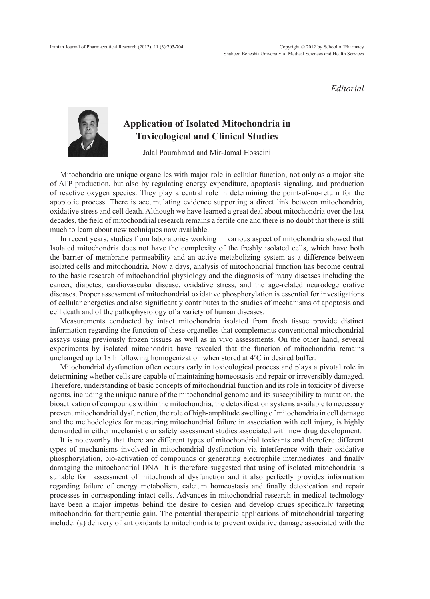*Editorial*



## **Application of Isolated Mitochondria in Toxicological and Clinical Studies**

Jalal Pourahmad and Mir-Jamal Hosseini

Mitochondria are unique organelles with major role in cellular function, not only as a major site of ATP production, but also by regulating energy expenditure, apoptosis signaling, and production of reactive oxygen species. They play a central role in determining the point-of-no-return for the apoptotic process. There is accumulating evidence supporting a direct link between mitochondria, oxidative stress and cell death. Although we have learned a great deal about mitochondria over the last decades, the field of mitochondrial research remains a fertile one and there is no doubt that there is still much to learn about new techniques now available.

In recent years, studies from laboratories working in various aspect of mitochondria showed that Isolated mitochondria does not have the complexity of the freshly isolated cells, which have both the barrier of membrane permeability and an active metabolizing system as a difference between isolated cells and mitochondria. Now a days, analysis of mitochondrial function has become central to the basic research of mitochondrial physiology and the diagnosis of many diseases including the cancer, diabetes, cardiovascular disease, oxidative stress, and the age-related neurodegenerative diseases. Proper assessment of mitochondrial oxidative phosphorylation is essential for investigations of cellular energetics and also significantly contributes to the studies of mechanisms of apoptosis and cell death and of the pathophysiology of a variety of human diseases.

Measurements conducted by intact mitochondria isolated from fresh tissue provide distinct information regarding the function of these organelles that complements conventional mitochondrial assays using previously frozen tissues as well as in vivo assessments. On the other hand, several experiments by isolated mitochondria have revealed that the function of mitochondria remains unchanged up to 18 h following homogenization when stored at 4ºC in desired buffer.

Mitochondrial dysfunction often occurs early in toxicological process and plays a pivotal role in determining whether cells are capable of maintaining homeostasis and repair or irreversibly damaged. Therefore, understanding of basic concepts of mitochondrial function and its role in toxicity of diverse agents, including the unique nature of the mitochondrial genome and its susceptibility to mutation, the bioactivation of compounds within the mitochondria, the detoxification systems available to necessary prevent mitochondrial dysfunction, the role of high-amplitude swelling of mitochondria in cell damage and the methodologies for measuring mitochondrial failure in association with cell injury, is highly demanded in either mechanistic or safety assessment studies associated with new drug development.

It is noteworthy that there are different types of mitochondrial toxicants and therefore different types of mechanisms involved in mitochondrial dysfunction via interference with their oxidative phosphorylation, bio-activation of compounds or generating electrophile intermediates and finally damaging the mitochondrial DNA. It is therefore suggested that using of isolated mitochondria is suitable for assessment of mitochondrial dysfunction and it also perfectly provides information regarding failure of energy metabolism, calcium homeostasis and finally detoxication and repair processes in corresponding intact cells. Advances in mitochondrial research in medical technology have been a major impetus behind the desire to design and develop drugs specifically targeting mitochondria for therapeutic gain. The potential therapeutic applications of mitochondrial targeting include: (a) delivery of antioxidants to mitochondria to prevent oxidative damage associated with the